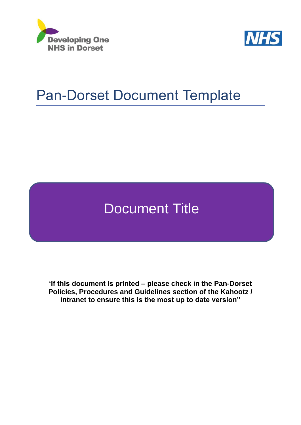



# Pan-Dorset Document Template

# Document Title

**'If this document is printed – please check in the Pan-Dorset Policies, Procedures and Guidelines section of the Kahootz / intranet to ensure this is the most up to date version"**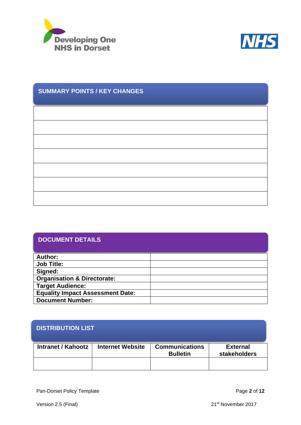



# **SUMMARY POINTS / KEY CHANGES**

| <b>DOCUMENT DETAILS</b>                 |  |
|-----------------------------------------|--|
| <b>Author:</b>                          |  |
| <b>Job Title:</b>                       |  |
| Signed:                                 |  |
| <b>Organisation &amp; Directorate:</b>  |  |
| <b>Target Audience:</b>                 |  |
| <b>Equality Impact Assessment Date:</b> |  |
| <b>Document Number:</b>                 |  |

### **DISTRIBUTION LIST**

| <b>Intranet / Kahootz</b> | <b>Internet Website</b> | <b>Communications</b> | <b>External</b> |
|---------------------------|-------------------------|-----------------------|-----------------|
|                           |                         | <b>Bulletin</b>       | stakeholders    |
|                           |                         |                       |                 |
|                           |                         |                       |                 |

Pan-Dorset Policy Template **Page 2** of **12**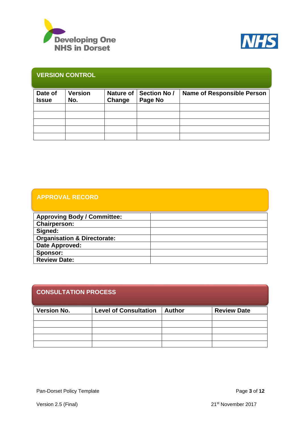



### **VERSION CONTROL**

| Date of<br><b>Issue</b> | <b>Version</b><br>No. | Change | Nature of   Section No /<br>Page No | <b>Name of Responsible Person</b> |
|-------------------------|-----------------------|--------|-------------------------------------|-----------------------------------|
|                         |                       |        |                                     |                                   |
|                         |                       |        |                                     |                                   |
|                         |                       |        |                                     |                                   |
|                         |                       |        |                                     |                                   |
|                         |                       |        |                                     |                                   |

### **APPROVAL RECORD**

| <b>Approving Body / Committee:</b>     |  |
|----------------------------------------|--|
| <b>Chairperson:</b>                    |  |
| Signed:                                |  |
| <b>Organisation &amp; Directorate:</b> |  |
| Date Approved:                         |  |
| Sponsor:                               |  |
| <b>Review Date:</b>                    |  |

| <b>CONSULTATION PROCESS</b> |                              |               |                    |  |  |  |  |
|-----------------------------|------------------------------|---------------|--------------------|--|--|--|--|
| <b>Version No.</b>          | <b>Level of Consultation</b> | <b>Author</b> | <b>Review Date</b> |  |  |  |  |
|                             |                              |               |                    |  |  |  |  |
|                             |                              |               |                    |  |  |  |  |
|                             |                              |               |                    |  |  |  |  |
|                             |                              |               |                    |  |  |  |  |
|                             |                              |               |                    |  |  |  |  |

Pan-Dorset Policy Template **Page 3** of 12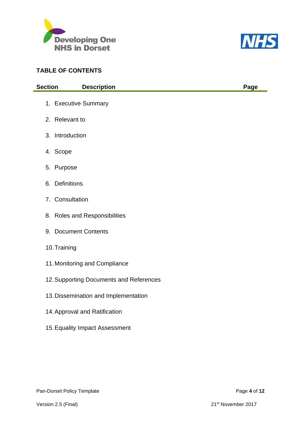



| <b>Section</b> | <b>Description</b>                      | Page |
|----------------|-----------------------------------------|------|
|                | 1. Executive Summary                    |      |
|                | 2. Relevant to                          |      |
|                | 3. Introduction                         |      |
|                | 4. Scope                                |      |
|                | 5. Purpose                              |      |
| 6.             | <b>Definitions</b>                      |      |
|                | 7. Consultation                         |      |
|                | 8. Roles and Responsibilities           |      |
|                | 9. Document Contents                    |      |
|                | 10. Training                            |      |
|                | 11. Monitoring and Compliance           |      |
|                | 12. Supporting Documents and References |      |
|                | 13. Dissemination and Implementation    |      |
|                | 14. Approval and Ratification           |      |
|                | 15. Equality Impact Assessment          |      |
|                |                                         |      |

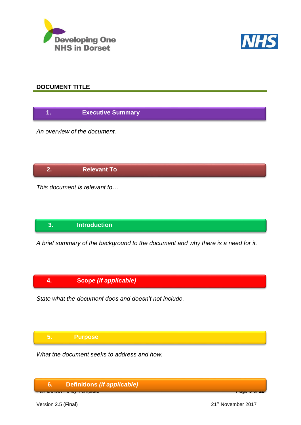



### **DOCUMENT TITLE**

**1. Executive Summary**

*An overview of the document.*

**2. Relevant To**

*This document is relevant to…*

## **3. Introduction**

*A brief summary of the background to the document and why there is a need for it.*

### **4. Scope** *(if applicable)*

*State what the document does and doesn't not include.*

### **5. Purpose**

*What the document seeks to address and how.*



Version 2.5 (Final) 21st November 2017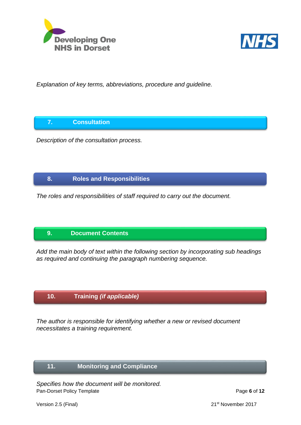



*Explanation of key terms, abbreviations, procedure and guideline.*

**7. Consultation**

*Description of the consultation process.*

### **8. Roles and Responsibilities**

*The roles and responsibilities of staff required to carry out the document.*

### **9. Document Contents**

*Add the main body of text within the following section by incorporating sub headings as required and continuing the paragraph numbering sequence.* 

### **10. Training** *(if applicable)*

*The author is responsible for identifying whether a new or revised document necessitates a training requirement.*

### **11. Monitoring and Compliance**

Pan-Dorset Policy Template **Page 6** of 12 *Specifies how the document will be monitored.*

Version 2.5 (Final) 21st November 2017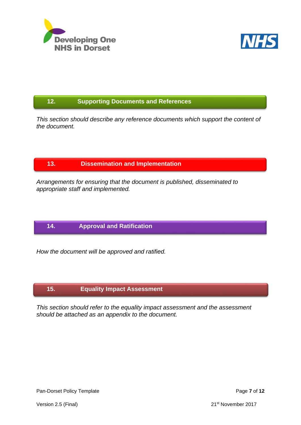



### **12. Supporting Documents and References**

*This section should describe any reference documents which support the content of the document.*

### **13. Dissemination and Implementation**

*Arrangements for ensuring that the document is published, disseminated to appropriate staff and implemented.*

### **14. Approval and Ratification**

*How the document will be approved and ratified.*

### **15. Equality Impact Assessment**

*This section should refer to the equality impact assessment and the assessment should be attached as an appendix to the document.*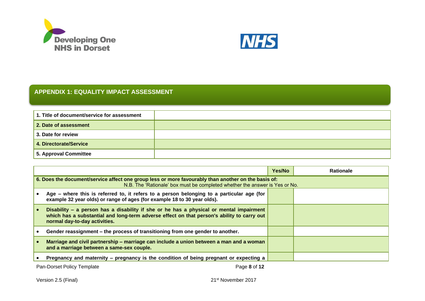



### **APPENDIX 1: EQUALITY IMPACT ASSESSMENT**

| 1. Title of document/service for assessment |  |
|---------------------------------------------|--|
| 2. Date of assessment                       |  |
| 3. Date for review                          |  |
| 4. Directorate/Service                      |  |
| 5. Approval Committee                       |  |

|                                                                                                                                                                                                                        | Yes/No | <b>Rationale</b> |  |  |  |
|------------------------------------------------------------------------------------------------------------------------------------------------------------------------------------------------------------------------|--------|------------------|--|--|--|
| 6. Does the document/service affect one group less or more favourably than another on the basis of:<br>N.B. The 'Rationale' box must be completed whether the answer is Yes or No.                                     |        |                  |  |  |  |
| Age – where this is referred to, it refers to a person belonging to a particular age (for<br>example 32 year olds) or range of ages (for example 18 to 30 year olds).                                                  |        |                  |  |  |  |
| Disability – a person has a disability if she or he has a physical or mental impairment<br>which has a substantial and long-term adverse effect on that person's ability to carry out<br>normal day-to-day activities. |        |                  |  |  |  |
| Gender reassignment – the process of transitioning from one gender to another.                                                                                                                                         |        |                  |  |  |  |
| Marriage and civil partnership – marriage can include a union between a man and a woman<br>and a marriage between a same-sex couple.                                                                                   |        |                  |  |  |  |
| Pregnancy and maternity – pregnancy is the condition of being pregnant or expecting a                                                                                                                                  |        |                  |  |  |  |

Pan-Dorset Policy Template **Page 8** of 12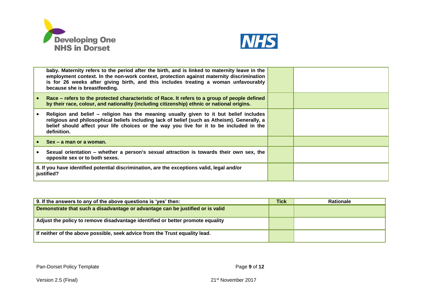



| baby. Maternity refers to the period after the birth, and is linked to maternity leave in the<br>employment context. In the non-work context, protection against maternity discrimination<br>is for 26 weeks after giving birth, and this includes treating a woman unfavourably<br>because she is breastfeeding. |  |
|-------------------------------------------------------------------------------------------------------------------------------------------------------------------------------------------------------------------------------------------------------------------------------------------------------------------|--|
| Race – refers to the protected characteristic of Race. It refers to a group of people defined<br>by their race, colour, and nationality (including citizenship) ethnic or national origins.                                                                                                                       |  |
| Religion and belief – religion has the meaning usually given to it but belief includes<br>religious and philosophical beliefs including lack of belief (such as Atheism). Generally, a<br>belief should affect your life choices or the way you live for it to be included in the<br>definition.                  |  |
| Sex – a man or a woman.                                                                                                                                                                                                                                                                                           |  |
| Sexual orientation - whether a person's sexual attraction is towards their own sex, the<br>opposite sex or to both sexes.                                                                                                                                                                                         |  |
| 8. If you have identified potential discrimination, are the exceptions valid, legal and/or<br>justified?                                                                                                                                                                                                          |  |

| 9. If the answers to any of the above questions is 'yes' then:                 | <b>Tick</b> | <b>Rationale</b> |
|--------------------------------------------------------------------------------|-------------|------------------|
| Demonstrate that such a disadvantage or advantage can be justified or is valid |             |                  |
| Adjust the policy to remove disadvantage identified or better promote equality |             |                  |
| If neither of the above possible, seek advice from the Trust equality lead.    |             |                  |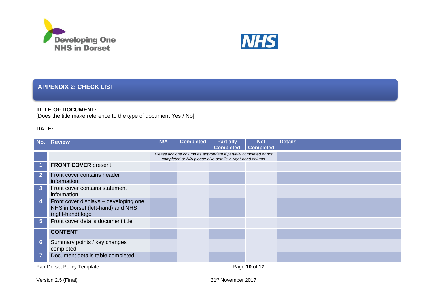



### **APPENDIX 2: CHECK LIST**

### **TITLE OF DOCUMENT:**

[Does the title make reference to the type of document Yes / No]

### **DATE:**

| No.              | <b>Review</b>                                                                                   | <b>N/A</b> | <b>Completed</b> | <b>Partially</b><br><b>Completed</b>                                                                                             | <b>Not</b><br><b>Completed</b> | <b>Details</b> |
|------------------|-------------------------------------------------------------------------------------------------|------------|------------------|----------------------------------------------------------------------------------------------------------------------------------|--------------------------------|----------------|
|                  |                                                                                                 |            |                  | Please tick one column as appropriate if partially completed or not<br>completed or N/A please give details in right-hand column |                                |                |
| 1                | <b>FRONT COVER present</b>                                                                      |            |                  |                                                                                                                                  |                                |                |
| $\overline{2}$   | Front cover contains header<br>information                                                      |            |                  |                                                                                                                                  |                                |                |
| $\overline{3}$   | Front cover contains statement<br>information                                                   |            |                  |                                                                                                                                  |                                |                |
| $\overline{4}$   | Front cover displays - developing one<br>NHS in Dorset (left-hand) and NHS<br>(right-hand) logo |            |                  |                                                                                                                                  |                                |                |
| $5\phantom{.}$   | Front cover details document title                                                              |            |                  |                                                                                                                                  |                                |                |
|                  | <b>CONTENT</b>                                                                                  |            |                  |                                                                                                                                  |                                |                |
| $6 \overline{6}$ | Summary points / key changes<br>completed                                                       |            |                  |                                                                                                                                  |                                |                |
| $\overline{7}$   | Document details table completed                                                                |            |                  |                                                                                                                                  |                                |                |

Pan-Dorset Policy Template **Page 10** of 12

Version 2.5 (Final) 21<sup>st</sup> November 2017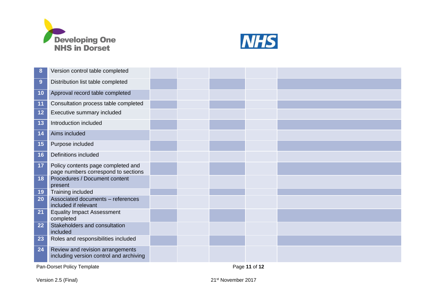



| 8  | Version control table completed                                             |  |  |  |
|----|-----------------------------------------------------------------------------|--|--|--|
| 9  | Distribution list table completed                                           |  |  |  |
| 10 | Approval record table completed                                             |  |  |  |
| 11 | Consultation process table completed                                        |  |  |  |
| 12 | Executive summary included                                                  |  |  |  |
| 13 | Introduction included                                                       |  |  |  |
| 14 | Aims included                                                               |  |  |  |
| 15 | Purpose included                                                            |  |  |  |
| 16 | Definitions included                                                        |  |  |  |
| 17 | Policy contents page completed and<br>page numbers correspond to sections   |  |  |  |
| 18 | Procedures / Document content<br>present                                    |  |  |  |
| 19 | <b>Training included</b>                                                    |  |  |  |
| 20 | Associated documents - references<br>included if relevant                   |  |  |  |
| 21 | <b>Equality Impact Assessment</b><br>completed                              |  |  |  |
| 22 | Stakeholders and consultation<br>included                                   |  |  |  |
| 23 | Roles and responsibilities included                                         |  |  |  |
| 24 | Review and revision arrangements<br>including version control and archiving |  |  |  |

Pan-Dorset Policy Template **Page 11** of **12** Page 11 of **12** 

Version 2.5 (Final) 21<sup>st</sup> November 2017